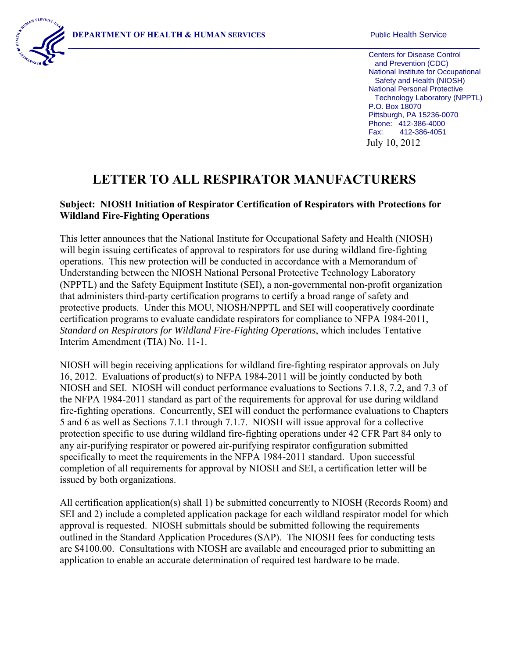

Centers for Disease Control and Prevention (CDC) National Institute for Occupational Safety and Health (NIOSH) National Personal Protective Technology Laboratory (NPPTL) P.O. Box 18070 Pittsburgh, PA 15236-0070 Phone: 412-386-4000 Fax: 412-386-4051 July 10, 2012

## **LETTER TO ALL RESPIRATOR MANUFACTURERS**

## **Subject: NIOSH Initiation of Respirator Certification of Respirators with Protections for Wildland Fire-Fighting Operations**

This letter announces that the National Institute for Occupational Safety and Health (NIOSH) will begin issuing certificates of approval to respirators for use during wildland fire-fighting operations. This new protection will be conducted in accordance with a Memorandum of Understanding between the NIOSH National Personal Protective Technology Laboratory (NPPTL) and the Safety Equipment Institute (SEI), a non-governmental non-profit organization that administers third-party certification programs to certify a broad range of safety and protective products. Under this MOU, NIOSH/NPPTL and SEI will cooperatively coordinate certification programs to evaluate candidate respirators for compliance to NFPA 1984-2011, *Standard on Respirators for Wildland Fire-Fighting Operations*, which includes Tentative Interim Amendment (TIA) No. 11-1.

NIOSH will begin receiving applications for wildland fire-fighting respirator approvals on July 16, 2012. Evaluations of product(s) to NFPA 1984-2011 will be jointly conducted by both NIOSH and SEI. NIOSH will conduct performance evaluations to Sections 7.1.8, 7.2, and 7.3 of the NFPA 1984-2011 standard as part of the requirements for approval for use during wildland fire-fighting operations. Concurrently, SEI will conduct the performance evaluations to Chapters 5 and 6 as well as Sections 7.1.1 through 7.1.7. NIOSH will issue approval for a collective protection specific to use during wildland fire-fighting operations under 42 CFR Part 84 only to any air-purifying respirator or powered air-purifying respirator configuration submitted specifically to meet the requirements in the NFPA 1984-2011 standard. Upon successful completion of all requirements for approval by NIOSH and SEI, a certification letter will be issued by both organizations.

All certification application(s) shall 1) be submitted concurrently to NIOSH (Records Room) and SEI and 2) include a completed application package for each wildland respirator model for which approval is requested. NIOSH submittals should be submitted following the requirements outlined in the Standard Application Procedures (SAP). The NIOSH fees for conducting tests are \$4100.00. Consultations with NIOSH are available and encouraged prior to submitting an application to enable an accurate determination of required test hardware to be made.